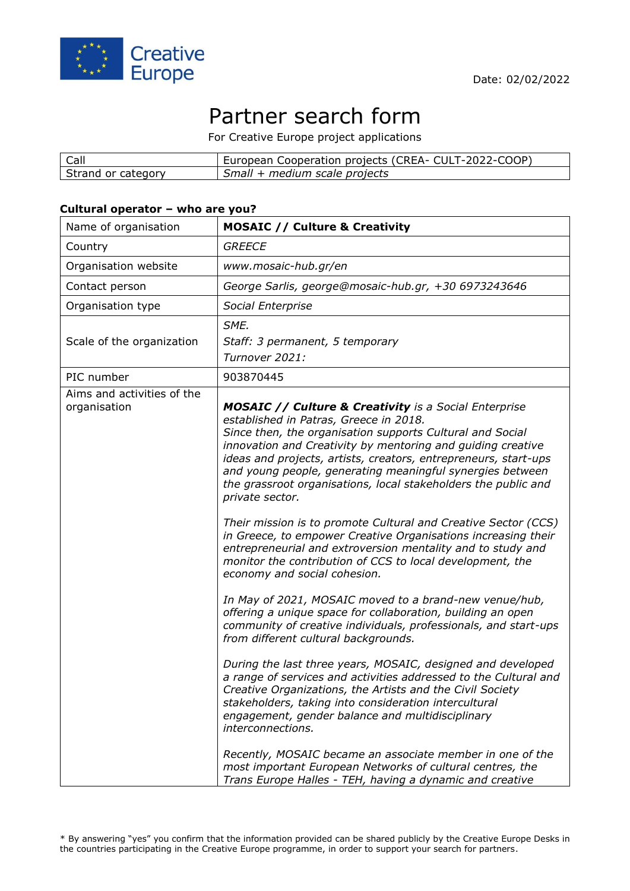

# Partner search form

For Creative Europe project applications

| Call               | European Cooperation projects (CREA- CULT-2022-COOP) |
|--------------------|------------------------------------------------------|
| Strand or category | Small + medium scale projects                        |

#### **Cultural operator – who are you?**

| Name of organisation                       | <b>MOSAIC // Culture &amp; Creativity</b>                                                                                                                                                                                                                                                                                                                                                                                                                                                                                                                                                                                                                                                                                                                                                                                                                                                                                                                                                                                                                                                                                                                                                                                                                                                                                                                                                                                                                                                                              |
|--------------------------------------------|------------------------------------------------------------------------------------------------------------------------------------------------------------------------------------------------------------------------------------------------------------------------------------------------------------------------------------------------------------------------------------------------------------------------------------------------------------------------------------------------------------------------------------------------------------------------------------------------------------------------------------------------------------------------------------------------------------------------------------------------------------------------------------------------------------------------------------------------------------------------------------------------------------------------------------------------------------------------------------------------------------------------------------------------------------------------------------------------------------------------------------------------------------------------------------------------------------------------------------------------------------------------------------------------------------------------------------------------------------------------------------------------------------------------------------------------------------------------------------------------------------------------|
| Country                                    | <b>GREECE</b>                                                                                                                                                                                                                                                                                                                                                                                                                                                                                                                                                                                                                                                                                                                                                                                                                                                                                                                                                                                                                                                                                                                                                                                                                                                                                                                                                                                                                                                                                                          |
| Organisation website                       | www.mosaic-hub.gr/en                                                                                                                                                                                                                                                                                                                                                                                                                                                                                                                                                                                                                                                                                                                                                                                                                                                                                                                                                                                                                                                                                                                                                                                                                                                                                                                                                                                                                                                                                                   |
| Contact person                             | George Sarlis, george@mosaic-hub.gr, +30 6973243646                                                                                                                                                                                                                                                                                                                                                                                                                                                                                                                                                                                                                                                                                                                                                                                                                                                                                                                                                                                                                                                                                                                                                                                                                                                                                                                                                                                                                                                                    |
| Organisation type                          | Social Enterprise                                                                                                                                                                                                                                                                                                                                                                                                                                                                                                                                                                                                                                                                                                                                                                                                                                                                                                                                                                                                                                                                                                                                                                                                                                                                                                                                                                                                                                                                                                      |
| Scale of the organization                  | SME.<br>Staff: 3 permanent, 5 temporary<br>Turnover 2021:                                                                                                                                                                                                                                                                                                                                                                                                                                                                                                                                                                                                                                                                                                                                                                                                                                                                                                                                                                                                                                                                                                                                                                                                                                                                                                                                                                                                                                                              |
| PIC number                                 | 903870445                                                                                                                                                                                                                                                                                                                                                                                                                                                                                                                                                                                                                                                                                                                                                                                                                                                                                                                                                                                                                                                                                                                                                                                                                                                                                                                                                                                                                                                                                                              |
| Aims and activities of the<br>organisation | <b>MOSAIC // Culture &amp; Creativity</b> is a Social Enterprise<br>established in Patras, Greece in 2018.<br>Since then, the organisation supports Cultural and Social<br>innovation and Creativity by mentoring and guiding creative<br>ideas and projects, artists, creators, entrepreneurs, start-ups<br>and young people, generating meaningful synergies between<br>the grassroot organisations, local stakeholders the public and<br>private sector.<br>Their mission is to promote Cultural and Creative Sector (CCS)<br>in Greece, to empower Creative Organisations increasing their<br>entrepreneurial and extroversion mentality and to study and<br>monitor the contribution of CCS to local development, the<br>economy and social cohesion.<br>In May of 2021, MOSAIC moved to a brand-new venue/hub,<br>offering a unique space for collaboration, building an open<br>community of creative individuals, professionals, and start-ups<br>from different cultural backgrounds.<br>During the last three years, MOSAIC, designed and developed<br>a range of services and activities addressed to the Cultural and<br>Creative Organizations, the Artists and the Civil Society<br>stakeholders, taking into consideration intercultural<br>engagement, gender balance and multidisciplinary<br>interconnections.<br>Recently, MOSAIC became an associate member in one of the<br>most important European Networks of cultural centres, the<br>Trans Europe Halles - TEH, having a dynamic and creative |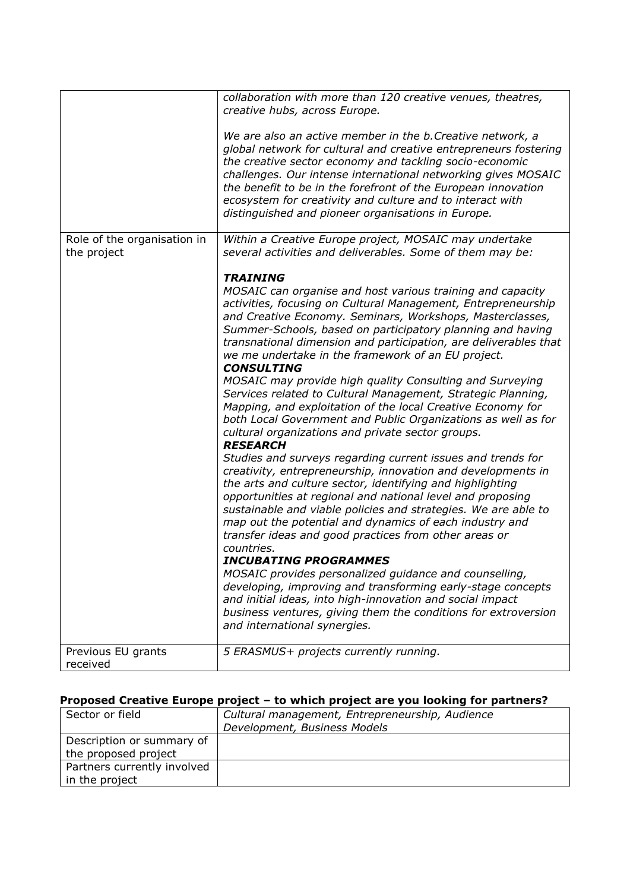|                                            | collaboration with more than 120 creative venues, theatres,<br>creative hubs, across Europe.<br>We are also an active member in the b. Creative network, a                                                                                                                                                                                                                                                                                                                                                                                                                                                                                                                                                                                                                                                                                                                                                                                                                                                                                                                                                                                                                                                                                                                                                                                                                                                                                                                                                                                         |
|--------------------------------------------|----------------------------------------------------------------------------------------------------------------------------------------------------------------------------------------------------------------------------------------------------------------------------------------------------------------------------------------------------------------------------------------------------------------------------------------------------------------------------------------------------------------------------------------------------------------------------------------------------------------------------------------------------------------------------------------------------------------------------------------------------------------------------------------------------------------------------------------------------------------------------------------------------------------------------------------------------------------------------------------------------------------------------------------------------------------------------------------------------------------------------------------------------------------------------------------------------------------------------------------------------------------------------------------------------------------------------------------------------------------------------------------------------------------------------------------------------------------------------------------------------------------------------------------------------|
|                                            | global network for cultural and creative entrepreneurs fostering<br>the creative sector economy and tackling socio-economic<br>challenges. Our intense international networking gives MOSAIC<br>the benefit to be in the forefront of the European innovation<br>ecosystem for creativity and culture and to interact with<br>distinguished and pioneer organisations in Europe.                                                                                                                                                                                                                                                                                                                                                                                                                                                                                                                                                                                                                                                                                                                                                                                                                                                                                                                                                                                                                                                                                                                                                                   |
| Role of the organisation in<br>the project | Within a Creative Europe project, MOSAIC may undertake<br>several activities and deliverables. Some of them may be:                                                                                                                                                                                                                                                                                                                                                                                                                                                                                                                                                                                                                                                                                                                                                                                                                                                                                                                                                                                                                                                                                                                                                                                                                                                                                                                                                                                                                                |
|                                            | <b>TRAINING</b><br>MOSAIC can organise and host various training and capacity<br>activities, focusing on Cultural Management, Entrepreneurship<br>and Creative Economy. Seminars, Workshops, Masterclasses,<br>Summer-Schools, based on participatory planning and having<br>transnational dimension and participation, are deliverables that<br>we me undertake in the framework of an EU project.<br><b>CONSULTING</b><br>MOSAIC may provide high quality Consulting and Surveying<br>Services related to Cultural Management, Strategic Planning,<br>Mapping, and exploitation of the local Creative Economy for<br>both Local Government and Public Organizations as well as for<br>cultural organizations and private sector groups.<br><b>RESEARCH</b><br>Studies and surveys regarding current issues and trends for<br>creativity, entrepreneurship, innovation and developments in<br>the arts and culture sector, identifying and highlighting<br>opportunities at regional and national level and proposing<br>sustainable and viable policies and strategies. We are able to<br>map out the potential and dynamics of each industry and<br>transfer ideas and good practices from other areas or<br>countries.<br><b>INCUBATING PROGRAMMES</b><br>MOSAIC provides personalized guidance and counselling,<br>developing, improving and transforming early-stage concepts<br>and initial ideas, into high-innovation and social impact<br>business ventures, giving them the conditions for extroversion<br>and international synergies. |
| Previous EU grants<br>received             | 5 ERASMUS+ projects currently running.                                                                                                                                                                                                                                                                                                                                                                                                                                                                                                                                                                                                                                                                                                                                                                                                                                                                                                                                                                                                                                                                                                                                                                                                                                                                                                                                                                                                                                                                                                             |

## **Proposed Creative Europe project – to which project are you looking for partners?**

| Sector or field             | Cultural management, Entrepreneurship, Audience |
|-----------------------------|-------------------------------------------------|
|                             | Development, Business Models                    |
| Description or summary of   |                                                 |
| the proposed project        |                                                 |
| Partners currently involved |                                                 |
| in the project              |                                                 |